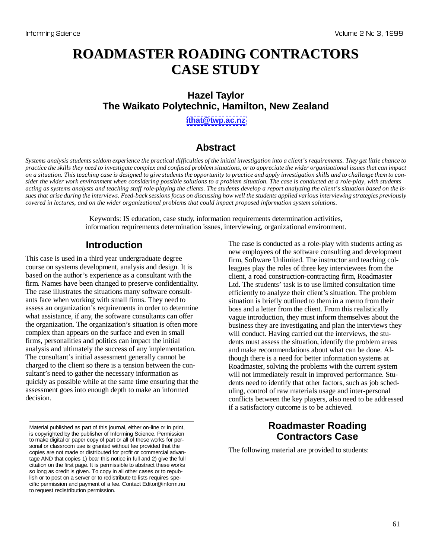# **ROADMASTER ROADING CONTRACTORS CASE STUDY**

## **Hazel Taylor The Waikato Polytechnic, Hamilton, New Zealand**

**[ithat@twp.ac.nz](mailto:ithat@twp.ac.nz)**

## **Abstract**

*Systems analysis students seldom experience the practical difficulties of the initial investigation into a client's requirements. They get little chance to practice the skills they need to investigate complex and confused problem situations, or to appreciate the wider organisational issues that can impact on a situation. This teaching case is designed to give students the opportunity to practice and apply investigation skills and to challenge them to consider the wider work environment when considering possible solutions to a problem situation. The case is conducted as a role-play, with students acting as systems analysts and teaching staff role-playing the clients. The students develop a report analyzing the client's situation based on the issues that arise during the interviews. Feed-back sessions focus on discussing how well the students applied various interviewing strategies previously covered in lectures, and on the wider organizational problems that could impact proposed information system solutions.* 

> Keywords: IS education, case study, information requirements determination activities, information requirements determination issues, interviewing, organizational environment.

## **Introduction**

This case is used in a third year undergraduate degree course on systems development, analysis and design. It is based on the author's experience as a consultant with the firm. Names have been changed to preserve confidentiality. The case illustrates the situations many software consultants face when working with small firms. They need to assess an organization's requirements in order to determine what assistance, if any, the software consultants can offer the organization. The organization's situation is often more complex than appears on the surface and even in small firms, personalities and politics can impact the initial analysis and ultimately the success of any implementation. The consultant's initial assessment generally cannot be charged to the client so there is a tension between the consultant's need to gather the necessary information as quickly as possible while at the same time ensuring that the assessment goes into enough depth to make an informed decision.

The case is conducted as a role-play with students acting as new employees of the software consulting and development firm, Software Unlimited. The instructor and teaching colleagues play the roles of three key interviewees from the client, a road construction-contracting firm, Roadmaster Ltd. The students' task is to use limited consultation time efficiently to analyze their client's situation. The problem situation is briefly outlined to them in a memo from their boss and a letter from the client. From this realistically vague introduction, they must inform themselves about the business they are investigating and plan the interviews they will conduct. Having carried out the interviews, the students must assess the situation, identify the problem areas and make recommendations about what can be done. Although there is a need for better information systems at Roadmaster, solving the problems with the current system will not immediately result in improved performance. Students need to identify that other factors, such as job scheduling, control of raw materials usage and inter-personal conflicts between the key players, also need to be addressed if a satisfactory outcome is to be achieved.

## **Roadmaster Roading Contractors Case**

The following material are provided to students:

Material published as part of this journal, either on-line or in print, is copyrighted by the publisher of Informing Science. Permission to make digital or paper copy of part or all of these works for personal or classroom use is granted without fee provided that the copies are not made or distributed for profit or commercial advantage AND that copies 1) bear this notice in full and 2) give the full citation on the first page. It is permissible to abstract these works so long as credit is given. To copy in all other cases or to republish or to post on a server or to redistribute to lists requires specific permission and payment of a fee. Contact Editor@inform.nu to request redistribution permission.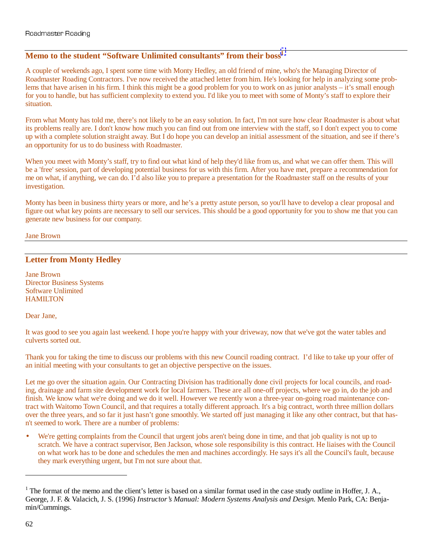### **Memo to the student "Software Unlimited consultants" from their boss1**

A couple of weekends ago, I spent some time with Monty Hedley, an old friend of mine, who's the Managing Director of Roadmaster Roading Contractors. I've now received the attached letter from him. He's looking for help in analyzing some problems that have arisen in his firm. I think this might be a good problem for you to work on as junior analysts – it's small enough for you to handle, but has sufficient complexity to extend you. I'd like you to meet with some of Monty's staff to explore their situation.

From what Monty has told me, there's not likely to be an easy solution. In fact, I'm not sure how clear Roadmaster is about what its problems really are. I don't know how much you can find out from one interview with the staff, so I don't expect you to come up with a complete solution straight away. But I do hope you can develop an initial assessment of the situation, and see if there's an opportunity for us to do business with Roadmaster.

When you meet with Monty's staff, try to find out what kind of help they'd like from us, and what we can offer them. This will be a 'free' session, part of developing potential business for us with this firm. After you have met, prepare a recommendation for me on what, if anything, we can do. I'd also like you to prepare a presentation for the Roadmaster staff on the results of your investigation.

Monty has been in business thirty years or more, and he's a pretty astute person, so you'll have to develop a clear proposal and figure out what key points are necessary to sell our services. This should be a good opportunity for you to show me that you can generate new business for our company.

Jane Brown

## **Letter from Monty Hedley**

Jane Brown Director Business Systems Software Unlimited **HAMILTON** 

Dear Jane,

It was good to see you again last weekend. I hope you're happy with your driveway, now that we've got the water tables and culverts sorted out.

Thank you for taking the time to discuss our problems with this new Council roading contract. I'd like to take up your offer of an initial meeting with your consultants to get an objective perspective on the issues.

Let me go over the situation again. Our Contracting Division has traditionally done civil projects for local councils, and roading, drainage and farm site development work for local farmers. These are all one-off projects, where we go in, do the job and finish. We know what we're doing and we do it well. However we recently won a three-year on-going road maintenance contract with Waitomo Town Council, and that requires a totally different approach. It's a big contract, worth three million dollars over the three years, and so far it just hasn't gone smoothly. We started off just managing it like any other contract, but that hasn't seemed to work. There are a number of problems:

We're getting complaints from the Council that urgent jobs aren't being done in time, and that job quality is not up to scratch. We have a contract supervisor, Ben Jackson, whose sole responsibility is this contract. He liaises with the Council on what work has to be done and schedules the men and machines accordingly. He says it's all the Council's fault, because they mark everything urgent, but I'm not sure about that.

 $\overline{a}$ 

<sup>&</sup>lt;sup>1</sup> The format of the memo and the client's letter is based on a similar format used in the case study outline in Hoffer, J. A., George, J. F. & Valacich, J. S. (1996) *Instructor's Manual: Modern Systems Analysis and Design.* Menlo Park, CA: Benjamin/Cummings.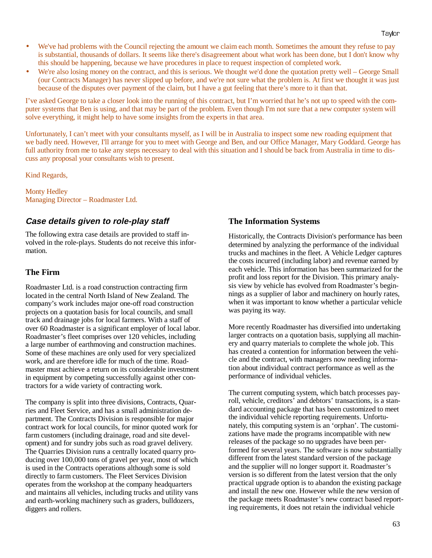- We've had problems with the Council rejecting the amount we claim each month. Sometimes the amount they refuse to pay is substantial, thousands of dollars. It seems like there's disagreement about what work has been done, but I don't know why this should be happening, because we have procedures in place to request inspection of completed work.
- We're also losing money on the contract, and this is serious. We thought we'd done the quotation pretty well George Small (our Contracts Manager) has never slipped up before, and we're not sure what the problem is. At first we thought it was just because of the disputes over payment of the claim, but I have a gut feeling that there's more to it than that.

I've asked George to take a closer look into the running of this contract, but I'm worried that he's not up to speed with the computer systems that Ben is using, and that may be part of the problem. Even though I'm not sure that a new computer system will solve everything, it might help to have some insights from the experts in that area.

Unfortunately, I can't meet with your consultants myself, as I will be in Australia to inspect some new roading equipment that we badly need. However, I'll arrange for you to meet with George and Ben, and our Office Manager, Mary Goddard. George has full authority from me to take any steps necessary to deal with this situation and I should be back from Australia in time to discuss any proposal your consultants wish to present.

Kind Regards,

Monty Hedley Managing Director – Roadmaster Ltd.

## **Case details given to role-play staff**

The following extra case details are provided to staff involved in the role-plays. Students do not receive this information.

### **The Firm**

Roadmaster Ltd. is a road construction contracting firm located in the central North Island of New Zealand. The company's work includes major one-off road construction projects on a quotation basis for local councils, and small track and drainage jobs for local farmers. With a staff of over 60 Roadmaster is a significant employer of local labor. Roadmaster's fleet comprises over 120 vehicles, including a large number of earthmoving and construction machines. Some of these machines are only used for very specialized work, and are therefore idle for much of the time. Roadmaster must achieve a return on its considerable investment in equipment by competing successfully against other contractors for a wide variety of contracting work.

The company is split into three divisions, Contracts, Quarries and Fleet Service, and has a small administration department. The Contracts Division is responsible for major contract work for local councils, for minor quoted work for farm customers (including drainage, road and site development) and for sundry jobs such as road gravel delivery. The Quarries Division runs a centrally located quarry producing over 100,000 tons of gravel per year, most of which is used in the Contracts operations although some is sold directly to farm customers. The Fleet Services Division operates from the workshop at the company headquarters and maintains all vehicles, including trucks and utility vans and earth-working machinery such as graders, bulldozers, diggers and rollers.

### **The Information Systems**

Historically, the Contracts Division's performance has been determined by analyzing the performance of the individual trucks and machines in the fleet. A Vehicle Ledger captures the costs incurred (including labor) and revenue earned by each vehicle. This information has been summarized for the profit and loss report for the Division. This primary analysis view by vehicle has evolved from Roadmaster's beginnings as a supplier of labor and machinery on hourly rates, when it was important to know whether a particular vehicle was paying its way.

More recently Roadmaster has diversified into undertaking larger contracts on a quotation basis, supplying all machinery and quarry materials to complete the whole job. This has created a contention for information between the vehicle and the contract, with managers now needing information about individual contract performance as well as the performance of individual vehicles.

The current computing system, which batch processes payroll, vehicle, creditors' and debtors' transactions, is a standard accounting package that has been customized to meet the individual vehicle reporting requirements. Unfortunately, this computing system is an 'orphan'. The customizations have made the programs incompatible with new releases of the package so no upgrades have been performed for several years. The software is now substantially different from the latest standard version of the package and the supplier will no longer support it. Roadmaster's version is so different from the latest version that the only practical upgrade option is to abandon the existing package and install the new one. However while the new version of the package meets Roadmaster's new contract based reporting requirements, it does not retain the individual vehicle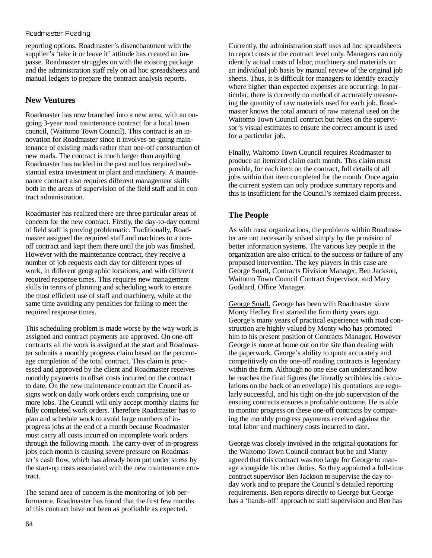#### Roadmaster Roading

reporting options. Roadmaster's disenchantment with the supplier's 'take it or leave it' attitude has created an impasse. Roadmaster struggles on with the existing package and the administration staff rely on ad hoc spreadsheets and manual ledgers to prepare the contract analysis reports.

### **New Ventures**

Roadmaster has now branched into a new area, with an ongoing 3-year road maintenance contract for a local town council, (Waitomo Town Council). This contract is an innovation for Roadmaster since it involves on-going maintenance of existing roads rather than one-off construction of new roads. The contract is much larger than anything Roadmaster has tackled in the past and has required substantial extra investment in plant and machinery. A maintenance contract also requires different management skills both in the areas of supervision of the field staff and in contract administration.

Roadmaster has realized there are three particular areas of concern for the new contract. Firstly, the day-to-day control of field staff is proving problematic. Traditionally, Roadmaster assigned the required staff and machines to a oneoff contract and kept them there until the job was finished. However with the maintenance contract, they receive a number of job requests each day for different types of work, in different geographic locations, and with different required response times. This requires new management skills in terms of planning and scheduling work to ensure the most efficient use of staff and machinery, while at the same time avoiding any penalties for failing to meet the required response times.

This scheduling problem is made worse by the way work is assigned and contract payments are approved. On one-off contracts all the work is assigned at the start and Roadmaster submits a monthly progress claim based on the percentage completion of the total contract. This claim is processed and approved by the client and Roadmaster receives monthly payments to offset costs incurred on the contract to date. On the new maintenance contract the Council assigns work on daily work orders each comprising one or more jobs. The Council will only accept monthly claims for fully completed work orders. Therefore Roadmaster has to plan and schedule work to avoid large numbers of inprogress jobs at the end of a month because Roadmaster must carry all costs incurred on incomplete work orders through the following month. The carry-over of in-progress jobs each month is causing severe pressure on Roadmaster's cash flow, which has already been put under stress by the start-up costs associated with the new maintenance contract.

The second area of concern is the monitoring of job performance. Roadmaster has found that the first few months of this contract have not been as profitable as expected.

Currently, the administration staff uses ad hoc spreadsheets to report costs at the contract level only. Managers can only identify actual costs of labor, machinery and materials on an individual job basis by manual review of the original job sheets. Thus, it is difficult for managers to identify exactly where higher than expected expenses are occurring. In particular, there is currently no method of accurately measuring the quantity of raw materials used for each job. Roadmaster knows the total amount of raw material used on the Waitomo Town Council contract but relies on the supervisor's visual estimates to ensure the correct amount is used for a particular job.

Finally, Waitomo Town Council requires Roadmaster to produce an itemized claim each month. This claim must provide, for each item on the contract, full details of all jobs within that item completed for the month. Once again the current system can only produce summary reports and this is insufficient for the Council's itemized claim process.

## **The People**

As with most organizations, the problems within Roadmaster are not necessarily solved simply by the provision of better information systems. The various key people in the organization are also critical to the success or failure of any proposed intervention. The key players in this case are George Small, Contracts Division Manager, Ben Jackson, Waitomo Town Council Contract Supervisor, and Mary Goddard, Office Manager.

George Small. George has been with Roadmaster since Monty Hedley first started the firm thirty years ago. George's many years of practical experience with road construction are highly valued by Monty who has promoted him to his present position of Contracts Manager. However George is more at home out on the site than dealing with the paperwork. George's ability to quote accurately and competitively on the one-off roading contracts is legendary within the firm. Although no one else can understand how he reaches the final figures (he literally scribbles his calculations on the back of an envelope) his quotations are regularly successful, and his tight on-the job supervision of the ensuing contracts ensures a profitable outcome. He is able to monitor progress on these one-off contracts by comparing the monthly progress payments received against the total labor and machinery costs incurred to date.

George was closely involved in the original quotations for the Waitomo Town Council contract but he and Monty agreed that this contract was too large for George to manage alongside his other duties. So they appointed a full-time contract supervisor Ben Jackson to supervise the day-today work and to prepare the Council's detailed reporting requirements. Ben reports directly to George but George has a 'hands-off' approach to staff supervision and Ben has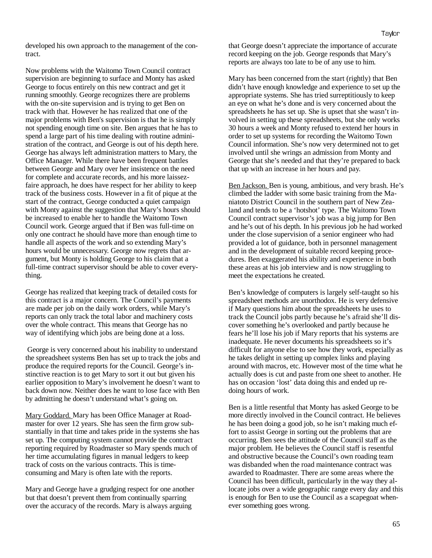developed his own approach to the management of the contract.

Now problems with the Waitomo Town Council contract supervision are beginning to surface and Monty has asked George to focus entirely on this new contract and get it running smoothly. George recognizes there are problems with the on-site supervision and is trying to get Ben on track with that. However he has realized that one of the major problems with Ben's supervision is that he is simply not spending enough time on site. Ben argues that he has to spend a large part of his time dealing with routine administration of the contract, and George is out of his depth here. George has always left administration matters to Mary, the Office Manager. While there have been frequent battles between George and Mary over her insistence on the need for complete and accurate records, and his more laissezfaire approach, he does have respect for her ability to keep track of the business costs. However in a fit of pique at the start of the contract, George conducted a quiet campaign with Monty against the suggestion that Mary's hours should be increased to enable her to handle the Waitomo Town Council work. George argued that if Ben was full-time on only one contract he should have more than enough time to handle all aspects of the work and so extending Mary's hours would be unnecessary. George now regrets that argument, but Monty is holding George to his claim that a full-time contract supervisor should be able to cover everything.

George has realized that keeping track of detailed costs for this contract is a major concern. The Council's payments are made per job on the daily work orders, while Mary's reports can only track the total labor and machinery costs over the whole contract. This means that George has no way of identifying which jobs are being done at a loss.

 George is very concerned about his inability to understand the spreadsheet systems Ben has set up to track the jobs and produce the required reports for the Council. George's instinctive reaction is to get Mary to sort it out but given his earlier opposition to Mary's involvement he doesn't want to back down now. Neither does he want to lose face with Ben by admitting he doesn't understand what's going on.

Mary Goddard. Mary has been Office Manager at Roadmaster for over 12 years. She has seen the firm grow substantially in that time and takes pride in the systems she has set up. The computing system cannot provide the contract reporting required by Roadmaster so Mary spends much of her time accumulating figures in manual ledgers to keep track of costs on the various contracts. This is timeconsuming and Mary is often late with the reports.

Mary and George have a grudging respect for one another but that doesn't prevent them from continually sparring over the accuracy of the records. Mary is always arguing

that George doesn't appreciate the importance of accurate record keeping on the job. George responds that Mary's reports are always too late to be of any use to him.

Mary has been concerned from the start (rightly) that Ben didn't have enough knowledge and experience to set up the appropriate systems. She has tried surreptitiously to keep an eye on what he's done and is very concerned about the spreadsheets he has set up. She is upset that she wasn't involved in setting up these spreadsheets, but she only works 30 hours a week and Monty refused to extend her hours in order to set up systems for recording the Waitomo Town Council information. She's now very determined not to get involved until she wrings an admission from Monty and George that she's needed and that they're prepared to back that up with an increase in her hours and pay.

Ben Jackson. Ben is young, ambitious, and very brash. He's climbed the ladder with some basic training from the Maniatoto District Council in the southern part of New Zealand and tends to be a 'hotshot' type. The Waitomo Town Council contract supervisor's job was a big jump for Ben and he's out of his depth. In his previous job he had worked under the close supervision of a senior engineer who had provided a lot of guidance, both in personnel management and in the development of suitable record keeping procedures. Ben exaggerated his ability and experience in both these areas at his job interview and is now struggling to meet the expectations he created.

Ben's knowledge of computers is largely self-taught so his spreadsheet methods are unorthodox. He is very defensive if Mary questions him about the spreadsheets he uses to track the Council jobs partly because he's afraid she'll discover something he's overlooked and partly because he fears he'll lose his job if Mary reports that his systems are inadequate. He never documents his spreadsheets so it's difficult for anyone else to see how they work, especially as he takes delight in setting up complex links and playing around with macros, etc. However most of the time what he actually does is cut and paste from one sheet to another. He has on occasion 'lost' data doing this and ended up redoing hours of work.

Ben is a little resentful that Monty has asked George to be more directly involved in the Council contract. He believes he has been doing a good job, so he isn't making much effort to assist George in sorting out the problems that are occurring. Ben sees the attitude of the Council staff as the major problem. He believes the Council staff is resentful and obstructive because the Council's own roading team was disbanded when the road maintenance contract was awarded to Roadmaster. There are some areas where the Council has been difficult, particularly in the way they allocate jobs over a wide geographic range every day and this is enough for Ben to use the Council as a scapegoat whenever something goes wrong.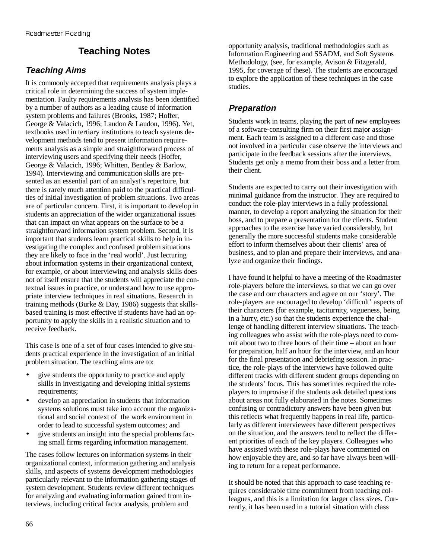## **Teaching Notes**

## **Teaching Aims**

It is commonly accepted that requirements analysis plays a critical role in determining the success of system implementation. Faulty requirements analysis has been identified by a number of authors as a leading cause of information system problems and failures (Brooks, 1987; Hoffer, George & Valacich, 1996; Laudon & Laudon, 1996). Yet, textbooks used in tertiary institutions to teach systems development methods tend to present information requirements analysis as a simple and straightforward process of interviewing users and specifying their needs (Hoffer, George & Valacich, 1996; Whitten, Bentley & Barlow, 1994). Interviewing and communication skills are presented as an essential part of an analyst's repertoire, but there is rarely much attention paid to the practical difficulties of initial investigation of problem situations. Two areas are of particular concern. First, it is important to develop in students an appreciation of the wider organizational issues that can impact on what appears on the surface to be a straightforward information system problem. Second, it is important that students learn practical skills to help in investigating the complex and confused problem situations they are likely to face in the 'real world'. Just lecturing about information systems in their organizational context, for example, or about interviewing and analysis skills does not of itself ensure that the students will appreciate the contextual issues in practice, or understand how to use appropriate interview techniques in real situations. Research in training methods (Burke & Day, 1986) suggests that skillsbased training is most effective if students have had an opportunity to apply the skills in a realistic situation and to receive feedback.

This case is one of a set of four cases intended to give students practical experience in the investigation of an initial problem situation. The teaching aims are to:

- give students the opportunity to practice and apply skills in investigating and developing initial systems requirements;
- develop an appreciation in students that information systems solutions must take into account the organizational and social context of the work environment in order to lead to successful system outcomes; and
- give students an insight into the special problems facing small firms regarding information management.

The cases follow lectures on information systems in their organizational context, information gathering and analysis skills, and aspects of systems development methodologies particularly relevant to the information gathering stages of system development. Students review different techniques for analyzing and evaluating information gained from interviews, including critical factor analysis, problem and

opportunity analysis, traditional methodologies such as Information Engineering and SSADM, and Soft Systems Methodology, (see, for example, Avison & Fitzgerald, 1995, for coverage of these). The students are encouraged to explore the application of these techniques in the case studies.

## **Preparation**

Students work in teams, playing the part of new employees of a software-consulting firm on their first major assignment. Each team is assigned to a different case and those not involved in a particular case observe the interviews and participate in the feedback sessions after the interviews. Students get only a memo from their boss and a letter from their client.

Students are expected to carry out their investigation with minimal guidance from the instructor. They are required to conduct the role-play interviews in a fully professional manner, to develop a report analyzing the situation for their boss, and to prepare a presentation for the clients. Student approaches to the exercise have varied considerably, but generally the more successful students make considerable effort to inform themselves about their clients' area of business, and to plan and prepare their interviews, and analyze and organize their findings.

I have found it helpful to have a meeting of the Roadmaster role-players before the interviews, so that we can go over the case and our characters and agree on our 'story'. The role-players are encouraged to develop 'difficult' aspects of their characters (for example, taciturnity, vagueness, being in a hurry, etc.) so that the students experience the challenge of handling different interview situations. The teaching colleagues who assist with the role-plays need to commit about two to three hours of their time – about an hour for preparation, half an hour for the interview, and an hour for the final presentation and debriefing session. In practice, the role-plays of the interviews have followed quite different tracks with different student groups depending on the students' focus. This has sometimes required the roleplayers to improvise if the students ask detailed questions about areas not fully elaborated in the notes. Sometimes confusing or contradictory answers have been given but this reflects what frequently happens in real life, particularly as different interviewees have different perspectives on the situation, and the answers tend to reflect the different priorities of each of the key players. Colleagues who have assisted with these role-plays have commented on how enjoyable they are, and so far have always been willing to return for a repeat performance.

It should be noted that this approach to case teaching requires considerable time commitment from teaching colleagues, and this is a limitation for larger class sizes. Currently, it has been used in a tutorial situation with class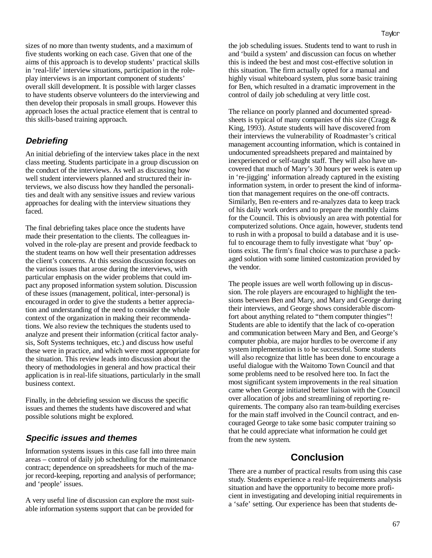sizes of no more than twenty students, and a maximum of five students working on each case. Given that one of the aims of this approach is to develop students' practical skills in 'real-life' interview situations, participation in the roleplay interviews is an important component of students' overall skill development. It is possible with larger classes to have students observe volunteers do the interviewing and then develop their proposals in small groups. However this approach loses the actual practice element that is central to this skills-based training approach.

### **Debriefing**

An initial debriefing of the interview takes place in the next class meeting. Students participate in a group discussion on the conduct of the interviews. As well as discussing how well student interviewers planned and structured their interviews, we also discuss how they handled the personalities and dealt with any sensitive issues and review various approaches for dealing with the interview situations they faced.

The final debriefing takes place once the students have made their presentation to the clients. The colleagues involved in the role-play are present and provide feedback to the student teams on how well their presentation addresses the client's concerns. At this session discussion focuses on the various issues that arose during the interviews, with particular emphasis on the wider problems that could impact any proposed information system solution. Discussion of these issues (management, political, inter-personal) is encouraged in order to give the students a better appreciation and understanding of the need to consider the whole context of the organization in making their recommendations. We also review the techniques the students used to analyze and present their information (critical factor analysis, Soft Systems techniques, etc.) and discuss how useful these were in practice, and which were most appropriate for the situation. This review leads into discussion about the theory of methodologies in general and how practical their application is in real-life situations, particularly in the small business context.

Finally, in the debriefing session we discuss the specific issues and themes the students have discovered and what possible solutions might be explored.

### **Specific issues and themes**

Information systems issues in this case fall into three main areas – control of daily job scheduling for the maintenance contract; dependence on spreadsheets for much of the major record-keeping, reporting and analysis of performance; and 'people' issues.

A very useful line of discussion can explore the most suitable information systems support that can be provided for

the job scheduling issues. Students tend to want to rush in and 'build a system' and discussion can focus on whether this is indeed the best and most cost-effective solution in this situation. The firm actually opted for a manual and highly visual whiteboard system, plus some basic training for Ben, which resulted in a dramatic improvement in the control of daily job scheduling at very little cost.

The reliance on poorly planned and documented spreadsheets is typical of many companies of this size (Cragg & King, 1993). Astute students will have discovered from their interviews the vulnerability of Roadmaster's critical management accounting information, which is contained in undocumented spreadsheets prepared and maintained by inexperienced or self-taught staff. They will also have uncovered that much of Mary's 30 hours per week is eaten up in 're-jigging' information already captured in the existing information system, in order to present the kind of information that management requires on the one-off contracts. Similarly, Ben re-enters and re-analyzes data to keep track of his daily work orders and to prepare the monthly claims for the Council. This is obviously an area with potential for computerized solutions. Once again, however, students tend to rush in with a proposal to build a database and it is useful to encourage them to fully investigate what 'buy' options exist. The firm's final choice was to purchase a packaged solution with some limited customization provided by the vendor.

The people issues are well worth following up in discussion. The role players are encouraged to highlight the tensions between Ben and Mary, and Mary and George during their interviews, and George shows considerable discomfort about anything related to "them computer thingies"! Students are able to identify that the lack of co-operation and communication between Mary and Ben, and George's computer phobia, are major hurdles to be overcome if any system implementation is to be successful. Some students will also recognize that little has been done to encourage a useful dialogue with the Waitomo Town Council and that some problems need to be resolved here too. In fact the most significant system improvements in the real situation came when George initiated better liaison with the Council over allocation of jobs and streamlining of reporting requirements. The company also ran team-building exercises for the main staff involved in the Council contract, and encouraged George to take some basic computer training so that he could appreciate what information he could get from the new system.

## **Conclusion**

There are a number of practical results from using this case study. Students experience a real-life requirements analysis situation and have the opportunity to become more proficient in investigating and developing initial requirements in a 'safe' setting. Our experience has been that students de